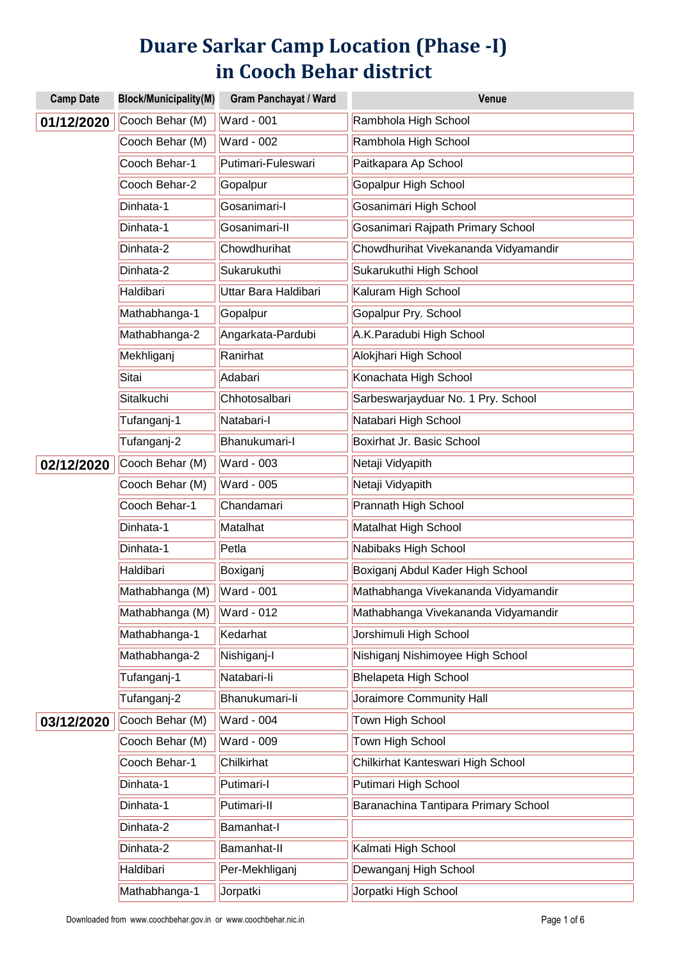## **Duare Sarkar Camp Location (Phase -I) in Cooch Behar district**

| <b>Camp Date</b> | <b>Block/Municipality(M)</b> | <b>Gram Panchayat / Ward</b> | Venue                                |
|------------------|------------------------------|------------------------------|--------------------------------------|
| 01/12/2020       | Cooch Behar (M)              | <b>Ward - 001</b>            | Rambhola High School                 |
|                  | Cooch Behar (M)              | <b>Ward - 002</b>            | Rambhola High School                 |
|                  | Cooch Behar-1                | Putimari-Fuleswari           | Paitkapara Ap School                 |
|                  | Cooch Behar-2                | Gopalpur                     | Gopalpur High School                 |
|                  | Dinhata-1                    | Gosanimari-I                 | Gosanimari High School               |
|                  | Dinhata-1                    | Gosanimari-II                | Gosanimari Rajpath Primary School    |
|                  | Dinhata-2                    | Chowdhurihat                 | Chowdhurihat Vivekananda Vidyamandir |
|                  | Dinhata-2                    | Sukarukuthi                  | Sukarukuthi High School              |
|                  | Haldibari                    | Uttar Bara Haldibari         | Kaluram High School                  |
|                  | Mathabhanga-1                | Gopalpur                     | Gopalpur Pry. School                 |
|                  | Mathabhanga-2                | Angarkata-Pardubi            | A.K.Paradubi High School             |
|                  | Mekhliganj                   | Ranirhat                     | Alokjhari High School                |
|                  | Sitai                        | Adabari                      | Konachata High School                |
|                  | Sitalkuchi                   | Chhotosalbari                | Sarbeswarjayduar No. 1 Pry. School   |
|                  | Tufanganj-1                  | Natabari-I                   | Natabari High School                 |
|                  | Tufanganj-2                  | Bhanukumari-I                | Boxirhat Jr. Basic School            |
| 02/12/2020       | Cooch Behar (M)              | <b>Ward - 003</b>            | Netaji Vidyapith                     |
|                  | Cooch Behar (M)              | <b>Ward - 005</b>            | Netaji Vidyapith                     |
|                  | Cooch Behar-1                | Chandamari                   | Prannath High School                 |
|                  | Dinhata-1                    | Matalhat                     | Matalhat High School                 |
|                  | Dinhata-1                    | Petla                        | Nabibaks High School                 |
|                  | Haldibari                    | Boxiganj                     | Boxiganj Abdul Kader High School     |
|                  | Mathabhanga (M)              | <b>Ward - 001</b>            | Mathabhanga Vivekananda Vidyamandir  |
|                  | Mathabhanga (M)              | <b>Ward - 012</b>            | Mathabhanga Vivekananda Vidyamandir  |
|                  | Mathabhanga-1                | Kedarhat                     | Jorshimuli High School               |
|                  | Mathabhanga-2                | Nishiganj-I                  | Nishiganj Nishimoyee High School     |
|                  | Tufanganj-1                  | Natabari-li                  | <b>Bhelapeta High School</b>         |
|                  | Tufanganj-2                  | Bhanukumari-li               | Joraimore Community Hall             |
| 03/12/2020       | Cooch Behar (M)              | <b>Ward - 004</b>            | Town High School                     |
|                  | Cooch Behar (M)              | <b>Ward - 009</b>            | Town High School                     |
|                  | Cooch Behar-1                | Chilkirhat                   | Chilkirhat Kanteswari High School    |
|                  | Dinhata-1                    | Putimari-l                   | Putimari High School                 |
|                  | Dinhata-1                    | Putimari-II                  | Baranachina Tantipara Primary School |
|                  | Dinhata-2                    | Bamanhat-I                   |                                      |
|                  | Dinhata-2                    | Bamanhat-II                  | Kalmati High School                  |
|                  | Haldibari                    | Per-Mekhliganj               | Dewanganj High School                |
|                  | Mathabhanga-1                | Jorpatki                     | Jorpatki High School                 |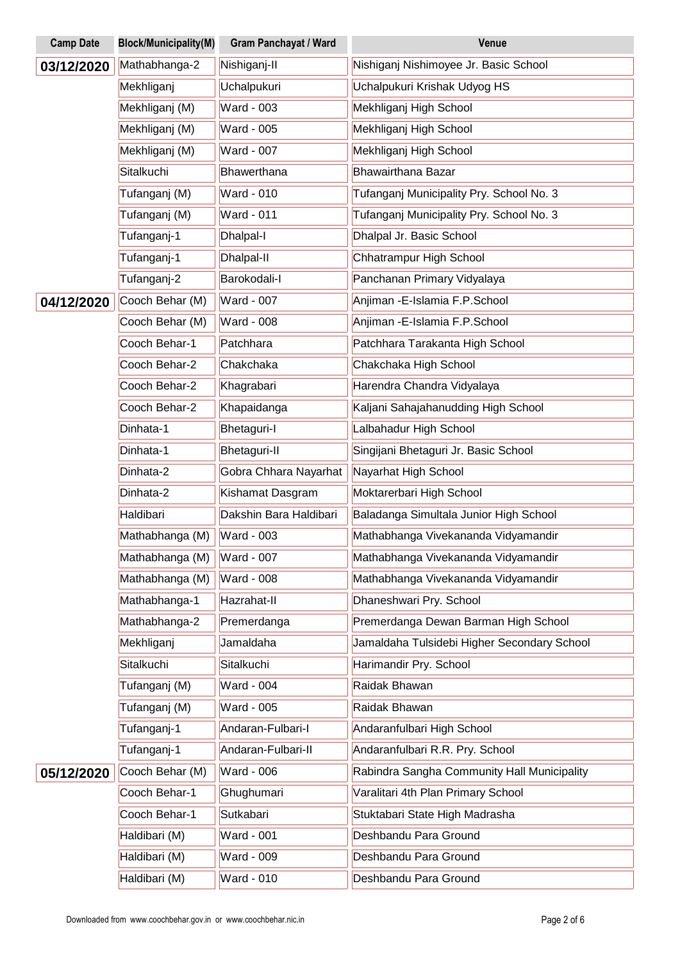| <b>Camp Date</b> | <b>Block/Municipality(M)</b> | <b>Gram Panchayat / Ward</b> | Venue                                       |
|------------------|------------------------------|------------------------------|---------------------------------------------|
| 03/12/2020       | Mathabhanga-2                | Nishiganj-II                 | Nishiganj Nishimoyee Jr. Basic School       |
|                  | Mekhliganj                   | Uchalpukuri                  | Uchalpukuri Krishak Udyog HS                |
|                  | Mekhliganj (M)               | <b>Ward - 003</b>            | Mekhliganj High School                      |
|                  | Mekhliganj (M)               | Ward - 005                   | Mekhliganj High School                      |
|                  | Mekhliganj (M)               | Ward - 007                   | Mekhliganj High School                      |
|                  | Sitalkuchi                   | Bhawerthana                  | <b>Bhawairthana Bazar</b>                   |
|                  | Tufanganj (M)                | <b>Ward - 010</b>            | Tufanganj Municipality Pry. School No. 3    |
|                  | Tufanganj (M)                | <b>Ward - 011</b>            | Tufanganj Municipality Pry. School No. 3    |
|                  | Tufanganj-1                  | Dhalpal-I                    | Dhalpal Jr. Basic School                    |
|                  | Tufanganj-1                  | Dhalpal-II                   | Chhatrampur High School                     |
|                  | Tufanganj-2                  | Barokodali-l                 | Panchanan Primary Vidyalaya                 |
| 04/12/2020       | Cooch Behar (M)              | <b>Ward - 007</b>            | Anjiman - E-Islamia F.P.School              |
|                  | Cooch Behar (M)              | <b>Ward - 008</b>            | Anjiman - E-Islamia F.P. School             |
|                  | Cooch Behar-1                | Patchhara                    | Patchhara Tarakanta High School             |
|                  | Cooch Behar-2                | Chakchaka                    | Chakchaka High School                       |
|                  | Cooch Behar-2                | Khagrabari                   | Harendra Chandra Vidyalaya                  |
|                  | Cooch Behar-2                | Khapaidanga                  | Kaljani Sahajahanudding High School         |
|                  | Dinhata-1                    | <b>Bhetaguri-I</b>           | Lalbahadur High School                      |
|                  | Dinhata-1                    | <b>Bhetaguri-II</b>          | Singijani Bhetaguri Jr. Basic School        |
|                  | Dinhata-2                    | Gobra Chhara Nayarhat        | Nayarhat High School                        |
|                  | Dinhata-2                    | Kishamat Dasgram             | Moktarerbari High School                    |
|                  | Haldibari                    | Dakshin Bara Haldibari       | Baladanga Simultala Junior High School      |
|                  | Mathabhanga (M)              | <b>Ward - 003</b>            | Mathabhanga Vivekananda Vidyamandir         |
|                  | Mathabhanga (M)              | Ward - 007                   | Mathabhanga Vivekananda Vidyamandir         |
|                  | Mathabhanga (M)              | <b>Ward - 008</b>            | Mathabhanga Vivekananda Vidyamandir         |
|                  | Mathabhanga-1                | Hazrahat-II                  | Dhaneshwari Pry. School                     |
|                  | Mathabhanga-2                | Premerdanga                  | Premerdanga Dewan Barman High School        |
|                  | Mekhliganj                   | Jamaldaha                    | Jamaldaha Tulsidebi Higher Secondary School |
|                  | Sitalkuchi                   | Sitalkuchi                   | Harimandir Pry. School                      |
|                  | Tufanganj (M)                | Ward - 004                   | Raidak Bhawan                               |
|                  | Tufanganj (M)                | Ward - 005                   | Raidak Bhawan                               |
|                  | Tufanganj-1                  | Andaran-Fulbari-I            | Andaranfulbari High School                  |
|                  | Tufanganj-1                  | Andaran-Fulbari-II           | Andaranfulbari R.R. Pry. School             |
| 05/12/2020       | Cooch Behar (M)              | <b>Ward - 006</b>            | Rabindra Sangha Community Hall Municipality |
|                  | Cooch Behar-1                | Ghughumari                   | Varalitari 4th Plan Primary School          |
|                  | Cooch Behar-1                | Sutkabari                    | Stuktabari State High Madrasha              |
|                  | Haldibari (M)                | <b>Ward - 001</b>            | Deshbandu Para Ground                       |
|                  | Haldibari (M)                | Ward - 009                   | Deshbandu Para Ground                       |
|                  | Haldibari (M)                | Ward - 010                   | Deshbandu Para Ground                       |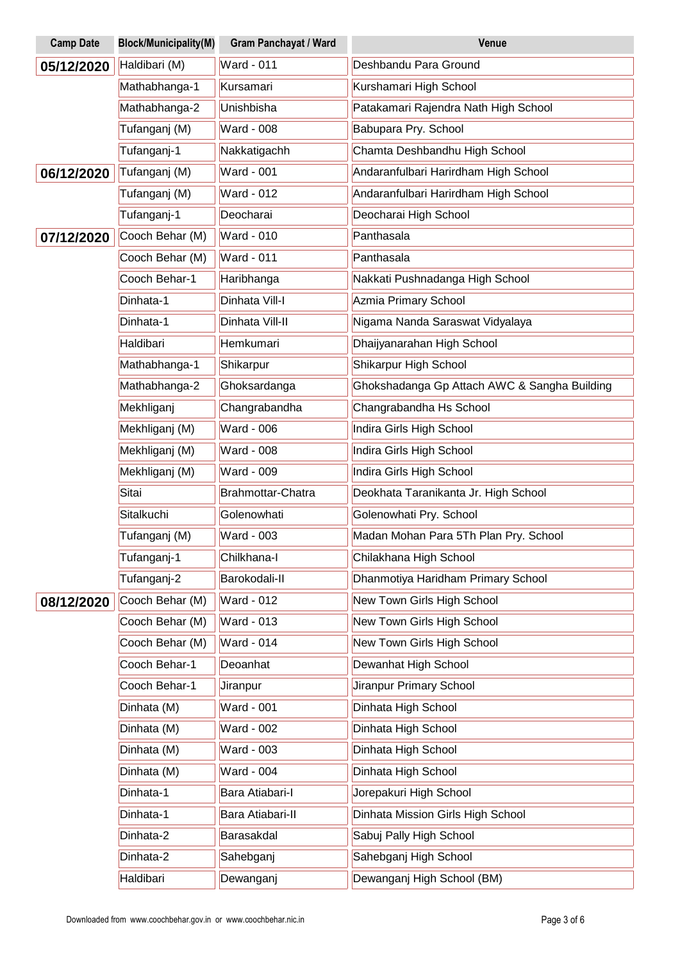| <b>Camp Date</b> | <b>Block/Municipality(M)</b> | <b>Gram Panchayat / Ward</b> | Venue                                        |
|------------------|------------------------------|------------------------------|----------------------------------------------|
| 05/12/2020       | Haldibari (M)                | <b>Ward - 011</b>            | Deshbandu Para Ground                        |
|                  | Mathabhanga-1                | Kursamari                    | Kurshamari High School                       |
|                  | Mathabhanga-2                | Unishbisha                   | Patakamari Rajendra Nath High School         |
|                  | Tufanganj (M)                | <b>Ward - 008</b>            | Babupara Pry. School                         |
|                  | Tufanganj-1                  | Nakkatigachh                 | Chamta Deshbandhu High School                |
| 06/12/2020       | Tufanganj (M)                | <b>Ward - 001</b>            | Andaranfulbari Harirdham High School         |
|                  | Tufanganj (M)                | <b>Ward - 012</b>            | Andaranfulbari Harirdham High School         |
|                  | Tufanganj-1                  | Deocharai                    | Deocharai High School                        |
| 07/12/2020       | Cooch Behar (M)              | <b>Ward - 010</b>            | Panthasala                                   |
|                  | Cooch Behar (M)              | <b>Ward - 011</b>            | Panthasala                                   |
|                  | Cooch Behar-1                | Haribhanga                   | Nakkati Pushnadanga High School              |
|                  | Dinhata-1                    | Dinhata Vill-I               | <b>Azmia Primary School</b>                  |
|                  | Dinhata-1                    | Dinhata Vill-II              | Nigama Nanda Saraswat Vidyalaya              |
|                  | Haldibari                    | Hemkumari                    | Dhaijyanarahan High School                   |
|                  | Mathabhanga-1                | Shikarpur                    | Shikarpur High School                        |
|                  | Mathabhanga-2                | Ghoksardanga                 | Ghokshadanga Gp Attach AWC & Sangha Building |
|                  | Mekhliganj                   | Changrabandha                | Changrabandha Hs School                      |
|                  | Mekhliganj (M)               | Ward - 006                   | Indira Girls High School                     |
|                  | Mekhliganj (M)               | <b>Ward - 008</b>            | Indira Girls High School                     |
|                  | Mekhliganj (M)               | Ward - 009                   | Indira Girls High School                     |
|                  | Sitai                        | Brahmottar-Chatra            | Deokhata Taranikanta Jr. High School         |
|                  | Sitalkuchi                   | Golenowhati                  | Golenowhati Pry. School                      |
|                  | Tufanganj (M)                | Ward - 003                   | Madan Mohan Para 5Th Plan Pry. School        |
|                  | Tufanganj-1                  | Chilkhana-l                  | Chilakhana High School                       |
|                  | Tufanganj-2                  | Barokodali-II                | Dhanmotiya Haridham Primary School           |
| 08/12/2020       | Cooch Behar (M)              | <b>Ward - 012</b>            | New Town Girls High School                   |
|                  | Cooch Behar (M)              | Ward - 013                   | New Town Girls High School                   |
|                  | Cooch Behar (M)              | <b>Ward - 014</b>            | New Town Girls High School                   |
|                  | Cooch Behar-1                | Deoanhat                     | Dewanhat High School                         |
|                  | Cooch Behar-1                | Jiranpur                     | Jiranpur Primary School                      |
|                  | Dinhata (M)                  | Ward - 001                   | Dinhata High School                          |
|                  | Dinhata (M)                  | <b>Ward - 002</b>            | Dinhata High School                          |
|                  | Dinhata (M)                  | Ward - 003                   | Dinhata High School                          |
|                  | Dinhata (M)                  | Ward - 004                   | Dinhata High School                          |
|                  | Dinhata-1                    | Bara Atiabari-I              | Jorepakuri High School                       |
|                  | Dinhata-1                    | Bara Atiabari-II             | Dinhata Mission Girls High School            |
|                  | Dinhata-2                    | Barasakdal                   | Sabuj Pally High School                      |
|                  | Dinhata-2                    | Sahebganj                    | Sahebganj High School                        |
|                  | Haldibari                    | Dewanganj                    | Dewanganj High School (BM)                   |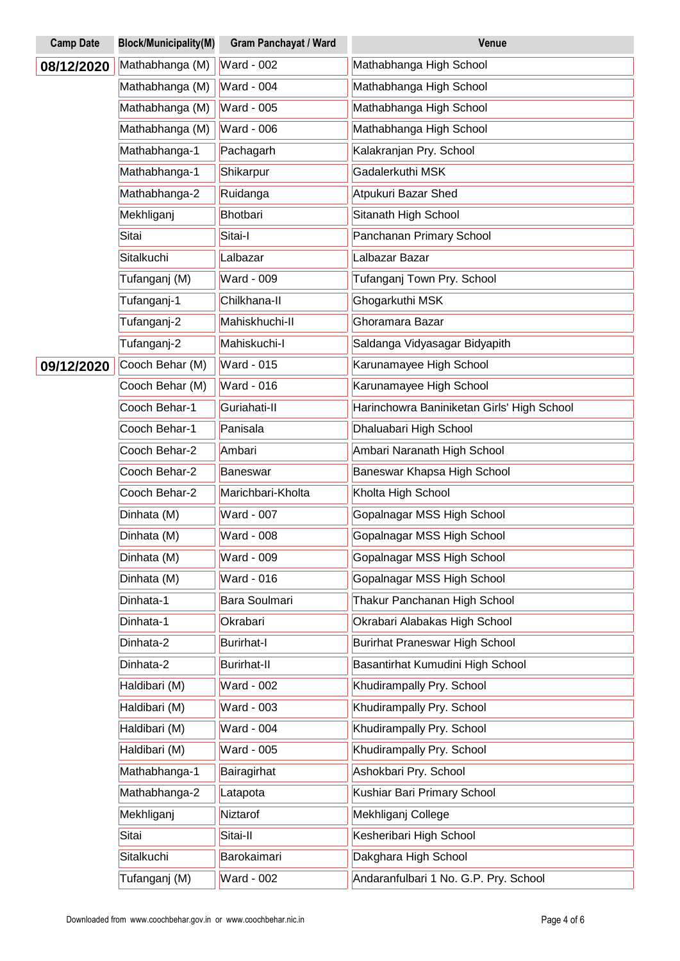| <b>Camp Date</b> | <b>Block/Municipality(M)</b> | <b>Gram Panchayat / Ward</b> | Venue                                      |
|------------------|------------------------------|------------------------------|--------------------------------------------|
| 08/12/2020       | Mathabhanga (M)              | <b>Ward - 002</b>            | Mathabhanga High School                    |
|                  | Mathabhanga (M)              | <b>Ward - 004</b>            | Mathabhanga High School                    |
|                  | Mathabhanga (M)              | <b>Ward - 005</b>            | Mathabhanga High School                    |
|                  | Mathabhanga (M)              | <b>Ward - 006</b>            | Mathabhanga High School                    |
|                  | Mathabhanga-1                | Pachagarh                    | Kalakranjan Pry. School                    |
|                  | Mathabhanga-1                | Shikarpur                    | Gadalerkuthi MSK                           |
|                  | Mathabhanga-2                | Ruidanga                     | Atpukuri Bazar Shed                        |
|                  | Mekhliganj                   | Bhotbari                     | Sitanath High School                       |
|                  | Sitai                        | Sitai-I                      | Panchanan Primary School                   |
|                  | Sitalkuchi                   | Lalbazar                     | Lalbazar Bazar                             |
|                  | Tufanganj (M)                | Ward - 009                   | Tufanganj Town Pry. School                 |
|                  | Tufanganj-1                  | Chilkhana-II                 | Ghogarkuthi MSK                            |
|                  | Tufanganj-2                  | Mahiskhuchi-II               | Ghoramara Bazar                            |
|                  | Tufanganj-2                  | Mahiskuchi-I                 | Saldanga Vidyasagar Bidyapith              |
| 09/12/2020       | Cooch Behar (M)              | <b>Ward - 015</b>            | Karunamayee High School                    |
|                  | Cooch Behar (M)              | <b>Ward - 016</b>            | Karunamayee High School                    |
|                  | Cooch Behar-1                | Guriahati-II                 | Harinchowra Baniniketan Girls' High School |
|                  | Cooch Behar-1                | Panisala                     | Dhaluabari High School                     |
|                  | Cooch Behar-2                | Ambari                       | Ambari Naranath High School                |
|                  | Cooch Behar-2                | Baneswar                     | Baneswar Khapsa High School                |
|                  | Cooch Behar-2                | Marichbari-Kholta            | Kholta High School                         |
|                  | Dinhata (M)                  | <b>Ward - 007</b>            | Gopalnagar MSS High School                 |
|                  | Dinhata (M)                  | <b>Ward - 008</b>            | Gopalnagar MSS High School                 |
|                  | Dinhata (M)                  | <b>Ward - 009</b>            | Gopalnagar MSS High School                 |
|                  | Dinhata (M)                  | Ward - 016                   | Gopalnagar MSS High School                 |
|                  | Dinhata-1                    | Bara Soulmari                | Thakur Panchanan High School               |
|                  | Dinhata-1                    | Okrabari                     | Okrabari Alabakas High School              |
|                  | Dinhata-2                    | <b>Burirhat-I</b>            | <b>Burirhat Praneswar High School</b>      |
|                  | Dinhata-2                    | <b>Burirhat-II</b>           | Basantirhat Kumudini High School           |
|                  | Haldibari (M)                | Ward - 002                   | Khudirampally Pry. School                  |
|                  | Haldibari (M)                | Ward - 003                   | Khudirampally Pry. School                  |
|                  | Haldibari (M)                | Ward - 004                   | Khudirampally Pry. School                  |
|                  | Haldibari (M)                | Ward - 005                   | Khudirampally Pry. School                  |
|                  | Mathabhanga-1                | Bairagirhat                  | Ashokbari Pry. School                      |
|                  | Mathabhanga-2                | Latapota                     | Kushiar Bari Primary School                |
|                  | Mekhliganj                   | Niztarof                     | Mekhliganj College                         |
|                  | Sitai                        | Sitai-II                     | Kesheribari High School                    |
|                  | Sitalkuchi                   | Barokaimari                  | Dakghara High School                       |
|                  | Tufanganj (M)                | Ward - 002                   | Andaranfulbari 1 No. G.P. Pry. School      |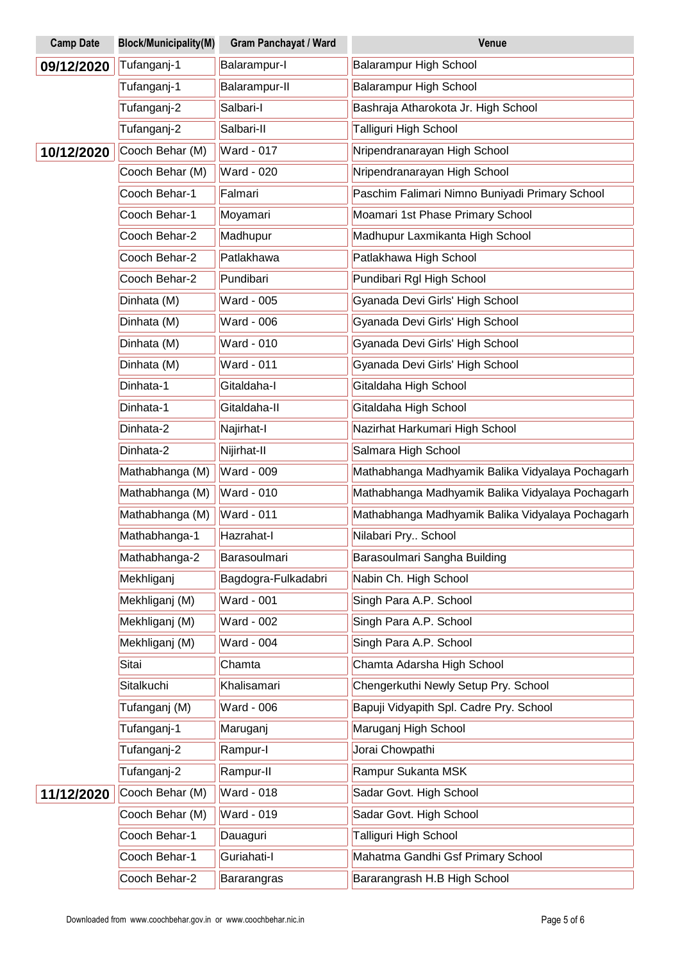| <b>Camp Date</b> | <b>Block/Municipality(M)</b> | <b>Gram Panchayat / Ward</b> | Venue                                            |
|------------------|------------------------------|------------------------------|--------------------------------------------------|
| 09/12/2020       | Tufanganj-1                  | Balarampur-I                 | Balarampur High School                           |
|                  | Tufanganj-1                  | Balarampur-II                | Balarampur High School                           |
|                  | Tufanganj-2                  | Salbari-I                    | Bashraja Atharokota Jr. High School              |
|                  | Tufanganj-2                  | Salbari-II                   | Talliguri High School                            |
| 10/12/2020       | Cooch Behar (M)              | <b>Ward - 017</b>            | Nripendranarayan High School                     |
|                  | Cooch Behar (M)              | <b>Ward - 020</b>            | Nripendranarayan High School                     |
|                  | Cooch Behar-1                | Falmari                      | Paschim Falimari Nimno Buniyadi Primary School   |
|                  | Cooch Behar-1                | Moyamari                     | Moamari 1st Phase Primary School                 |
|                  | Cooch Behar-2                | Madhupur                     | Madhupur Laxmikanta High School                  |
|                  | Cooch Behar-2                | Patlakhawa                   | Patlakhawa High School                           |
|                  | Cooch Behar-2                | Pundibari                    | Pundibari Rgl High School                        |
|                  | Dinhata (M)                  | <b>Ward - 005</b>            | Gyanada Devi Girls' High School                  |
|                  | Dinhata (M)                  | <b>Ward - 006</b>            | Gyanada Devi Girls' High School                  |
|                  | Dinhata (M)                  | <b>Ward - 010</b>            | Gyanada Devi Girls' High School                  |
|                  | Dinhata (M)                  | <b>Ward - 011</b>            | Gyanada Devi Girls' High School                  |
|                  | Dinhata-1                    | Gitaldaha-I                  | Gitaldaha High School                            |
|                  | Dinhata-1                    | Gitaldaha-II                 | Gitaldaha High School                            |
|                  | Dinhata-2                    | Najirhat-I                   | Nazirhat Harkumari High School                   |
|                  | Dinhata-2                    | Nijirhat-II                  | Salmara High School                              |
|                  | Mathabhanga (M)              | <b>Ward - 009</b>            | Mathabhanga Madhyamik Balika Vidyalaya Pochagarh |
|                  | Mathabhanga (M)              | <b>Ward - 010</b>            | Mathabhanga Madhyamik Balika Vidyalaya Pochagarh |
|                  | Mathabhanga (M)              | <b>Ward - 011</b>            | Mathabhanga Madhyamik Balika Vidyalaya Pochagarh |
|                  | Mathabhanga-1                | Hazrahat-I                   | Nilabari Pry School                              |
|                  | Mathabhanga-2                | Barasoulmari                 | Barasoulmari Sangha Building                     |
|                  | Mekhliganj                   | Bagdogra-Fulkadabri          | Nabin Ch. High School                            |
|                  | Mekhliganj (M)               | <b>Ward - 001</b>            | Singh Para A.P. School                           |
|                  | Mekhliganj (M)               | <b>Ward - 002</b>            | Singh Para A.P. School                           |
|                  | Mekhliganj (M)               | Ward - 004                   | Singh Para A.P. School                           |
|                  | Sitai                        | Chamta                       | Chamta Adarsha High School                       |
|                  | Sitalkuchi                   | Khalisamari                  | Chengerkuthi Newly Setup Pry. School             |
|                  | Tufanganj (M)                | Ward - 006                   | Bapuji Vidyapith Spl. Cadre Pry. School          |
|                  | Tufanganj-1                  | Maruganj                     | Maruganj High School                             |
|                  | Tufanganj-2                  | Rampur-I                     | Jorai Chowpathi                                  |
|                  | Tufanganj-2                  | Rampur-II                    | Rampur Sukanta MSK                               |
| 11/12/2020       | Cooch Behar (M)              | <b>Ward - 018</b>            | Sadar Govt. High School                          |
|                  | Cooch Behar (M)              | <b>Ward - 019</b>            | Sadar Govt. High School                          |
|                  | Cooch Behar-1                | Dauaguri                     | Talliguri High School                            |
|                  | Cooch Behar-1                | Guriahati-I                  | Mahatma Gandhi Gsf Primary School                |
|                  | Cooch Behar-2                | Bararangras                  | Bararangrash H.B High School                     |